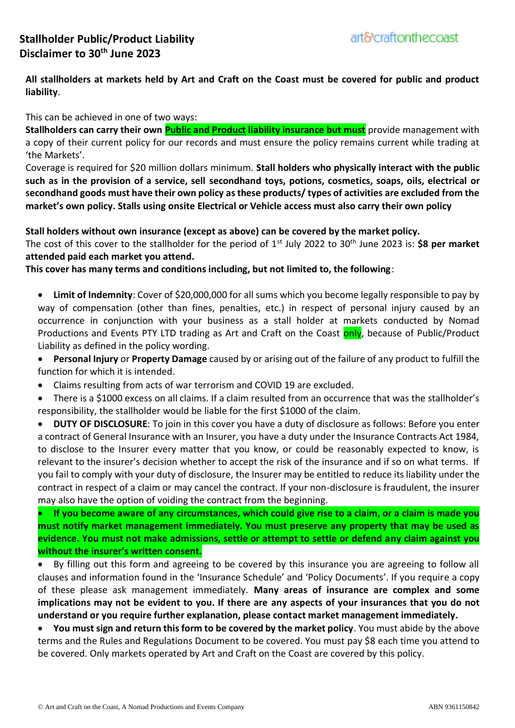**All stallholders at markets held by Art and Craft on the Coast must be covered for public and product liability**.

This can be achieved in one of two ways:

**Stallholders can carry their own Public and Product liability insurance but must** provide management with a copy of their current policy for our records and must ensure the policy remains current while trading at 'the Markets'.

Coverage is required for \$20 million dollars minimum. **Stall holders who physically interact with the public such as in the provision of a service, sell secondhand toys, potions, cosmetics, soaps, oils, electrical or secondhand goods must have their own policy as these products/ types of activities are excluded from the market's own policy. Stalls using onsite Electrical or Vehicle access must also carry their own policy**

**Stall holders without own insurance (except as above) can be covered by the market policy.**

The cost of this cover to the stallholder for the period of 1<sup>st</sup> July 2022 to 30<sup>th</sup> June 2023 is: **\$8 per market attended paid each market you attend.**

**This cover has many terms and conditions including, but not limited to, the following**:

- **Limit of Indemnity**: Cover of \$20,000,000 for all sums which you become legally responsible to pay by way of compensation (other than fines, penalties, etc.) in respect of personal injury caused by an occurrence in conjunction with your business as a stall holder at markets conducted by Nomad Productions and Events PTY LTD trading as Art and Craft on the Coast only, because of Public/Product Liability as defined in the policy wording.
- **Personal Injury** or **Property Damage** caused by or arising out of the failure of any product to fulfill the function for which it is intended.
- Claims resulting from acts of war terrorism and COVID 19 are excluded.
- There is a \$1000 excess on all claims. If a claim resulted from an occurrence that was the stallholder's responsibility, the stallholder would be liable for the first \$1000 of the claim.

• **DUTY OF DISCLOSURE**: To join in this cover you have a duty of disclosure as follows: Before you enter a contract of General Insurance with an Insurer, you have a duty under the Insurance Contracts Act 1984, to disclose to the Insurer every matter that you know, or could be reasonably expected to know, is relevant to the insurer's decision whether to accept the risk of the insurance and if so on what terms. If you fail to comply with your duty of disclosure, the Insurer may be entitled to reduce its liability under the contract in respect of a claim or may cancel the contract. If your non-disclosure is fraudulent, the insurer may also have the option of voiding the contract from the beginning.

• **If you become aware of any circumstances, which could give rise to a claim, or a claim is made you must notify market management immediately. You must preserve any property that may be used as evidence. You must not make admissions, settle or attempt to settle or defend any claim against you without the insurer's written consent.**

• By filling out this form and agreeing to be covered by this insurance you are agreeing to follow all clauses and information found in the 'Insurance Schedule' and 'Policy Documents'. If you require a copy of these please ask management immediately. **Many areas of insurance are complex and some implications may not be evident to you. If there are any aspects of your insurances that you do not understand or you require further explanation, please contact market management immediately.**

• **You must sign and return this form to be covered by the market policy**. You must abide by the above terms and the Rules and Regulations Document to be covered. You must pay \$8 each time you attend to be covered. Only markets operated by Art and Craft on the Coast are covered by this policy.